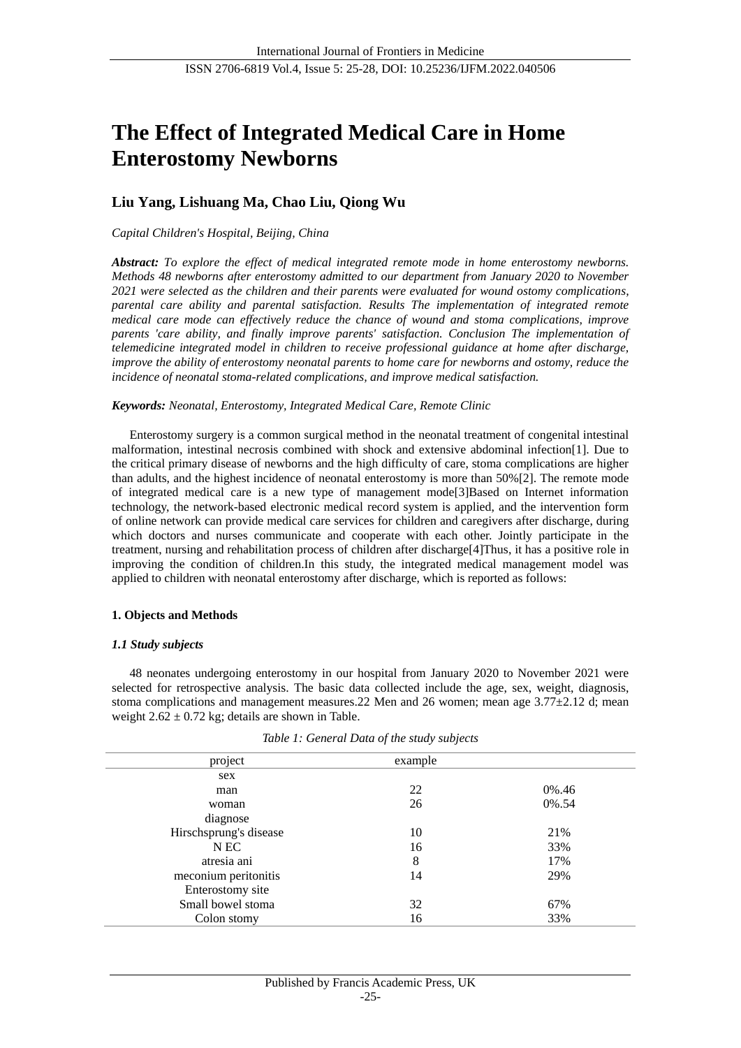# **The Effect of Integrated Medical Care in Home Enterostomy Newborns**

# **Liu Yang, Lishuang Ma, Chao Liu, Qiong Wu**

# *Capital Children's Hospital, Beijing, China*

*Abstract: To explore the effect of medical integrated remote mode in home enterostomy newborns. Methods 48 newborns after enterostomy admitted to our department from January 2020 to November 2021 were selected as the children and their parents were evaluated for wound ostomy complications, parental care ability and parental satisfaction. Results The implementation of integrated remote medical care mode can effectively reduce the chance of wound and stoma complications, improve parents 'care ability, and finally improve parents' satisfaction. Conclusion The implementation of telemedicine integrated model in children to receive professional guidance at home after discharge, improve the ability of enterostomy neonatal parents to home care for newborns and ostomy, reduce the incidence of neonatal stoma-related complications, and improve medical satisfaction.*

# *Keywords: Neonatal, Enterostomy, Integrated Medical Care, Remote Clinic*

Enterostomy surgery is a common surgical method in the neonatal treatment of congenital intestinal malformation, intestinal necrosis combined with shock and extensive abdominal infection[1]. Due to the critical primary disease of newborns and the high difficulty of care, stoma complications are higher than adults, and the highest incidence of neonatal enterostomy is more than 50%[2]. The remote mode of integrated medical care is a new type of management mode[3]Based on Internet information technology, the network-based electronic medical record system is applied, and the intervention form of online network can provide medical care services for children and caregivers after discharge, during which doctors and nurses communicate and cooperate with each other. Jointly participate in the treatment, nursing and rehabilitation process of children after discharge[4]Thus, it has a positive role in improving the condition of children.In this study, the integrated medical management model was applied to children with neonatal enterostomy after discharge, which is reported as follows:

# **1. Objects and Methods**

# *1.1 Study subjects*

48 neonates undergoing enterostomy in our hospital from January 2020 to November 2021 were selected for retrospective analysis. The basic data collected include the age, sex, weight, diagnosis, stoma complications and management measures.22 Men and 26 women; mean age  $3.77 \pm 2.12$  d; mean weight  $2.62 \pm 0.72$  kg; details are shown in Table.

| project                | example |       |
|------------------------|---------|-------|
| sex                    |         |       |
| man                    | 22      | 0%.46 |
| woman                  | 26      | 0%.54 |
| diagnose               |         |       |
| Hirschsprung's disease | 10      | 21%   |
| N EC                   | 16      | 33%   |
| atresia ani            | 8       | 17%   |
| meconium peritonitis   | 14      | 29%   |
| Enterostomy site       |         |       |
| Small bowel stoma      | 32      | 67%   |
| Colon stomy            | 16      | 33%   |

*Table 1: General Data of the study subjects*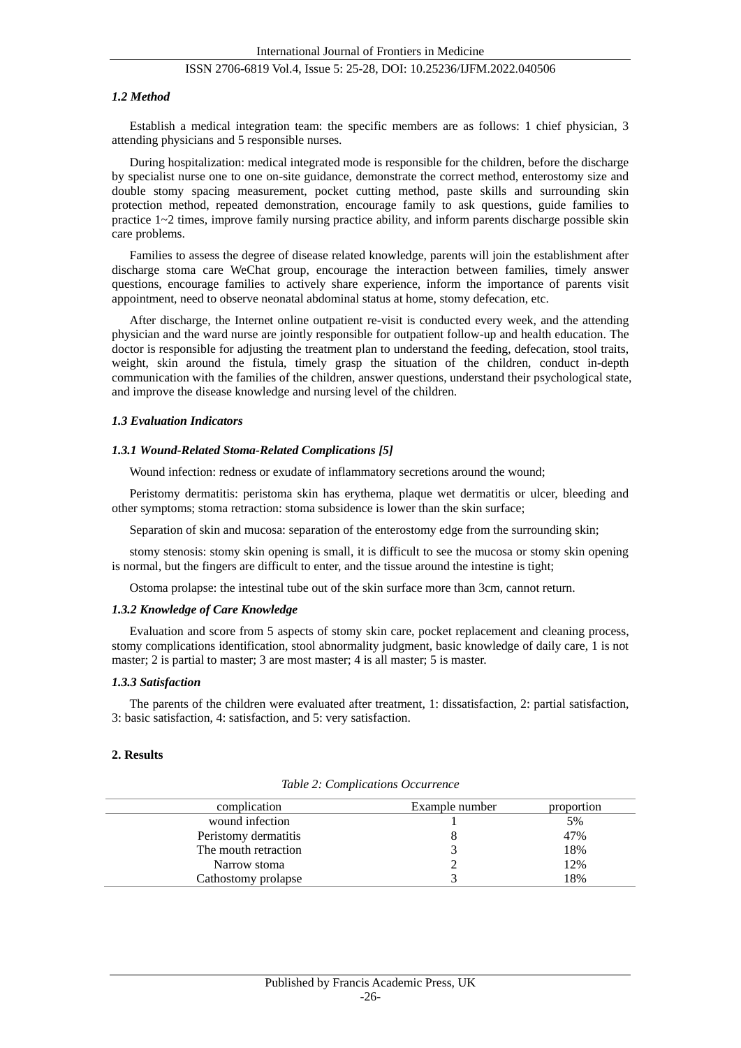# ISSN 2706-6819 Vol.4, Issue 5: 25-28, DOI: 10.25236/IJFM.2022.040506

#### *1.2 Method*

Establish a medical integration team: the specific members are as follows: 1 chief physician, 3 attending physicians and 5 responsible nurses.

During hospitalization: medical integrated mode is responsible for the children, before the discharge by specialist nurse one to one on-site guidance, demonstrate the correct method, enterostomy size and double stomy spacing measurement, pocket cutting method, paste skills and surrounding skin protection method, repeated demonstration, encourage family to ask questions, guide families to practice  $1~2$  times, improve family nursing practice ability, and inform parents discharge possible skin care problems.

Families to assess the degree of disease related knowledge, parents will join the establishment after discharge stoma care WeChat group, encourage the interaction between families, timely answer questions, encourage families to actively share experience, inform the importance of parents visit appointment, need to observe neonatal abdominal status at home, stomy defecation, etc.

After discharge, the Internet online outpatient re-visit is conducted every week, and the attending physician and the ward nurse are jointly responsible for outpatient follow-up and health education. The doctor is responsible for adjusting the treatment plan to understand the feeding, defecation, stool traits, weight, skin around the fistula, timely grasp the situation of the children, conduct in-depth communication with the families of the children, answer questions, understand their psychological state, and improve the disease knowledge and nursing level of the children.

#### *1.3 Evaluation Indicators*

#### *1.3.1 Wound-Related Stoma-Related Complications [5]*

Wound infection: redness or exudate of inflammatory secretions around the wound;

Peristomy dermatitis: peristoma skin has erythema, plaque wet dermatitis or ulcer, bleeding and other symptoms; stoma retraction: stoma subsidence is lower than the skin surface;

Separation of skin and mucosa: separation of the enterostomy edge from the surrounding skin;

stomy stenosis: stomy skin opening is small, it is difficult to see the mucosa or stomy skin opening is normal, but the fingers are difficult to enter, and the tissue around the intestine is tight;

Ostoma prolapse: the intestinal tube out of the skin surface more than 3cm, cannot return.

#### *1.3.2 Knowledge of Care Knowledge*

Evaluation and score from 5 aspects of stomy skin care, pocket replacement and cleaning process, stomy complications identification, stool abnormality judgment, basic knowledge of daily care, 1 is not master; 2 is partial to master; 3 are most master; 4 is all master; 5 is master.

#### *1.3.3 Satisfaction*

The parents of the children were evaluated after treatment, 1: dissatisfaction, 2: partial satisfaction, 3: basic satisfaction, 4: satisfaction, and 5: very satisfaction.

#### **2. Results**

| complication         | Example number | proportion |
|----------------------|----------------|------------|
| wound infection      |                | 5%         |
| Peristomy dermatitis |                | 47%        |
| The mouth retraction |                | 18%        |
| Narrow stoma         |                | 12%        |
| Cathostomy prolapse  |                | 18%        |

*Table 2: Complications Occurrence*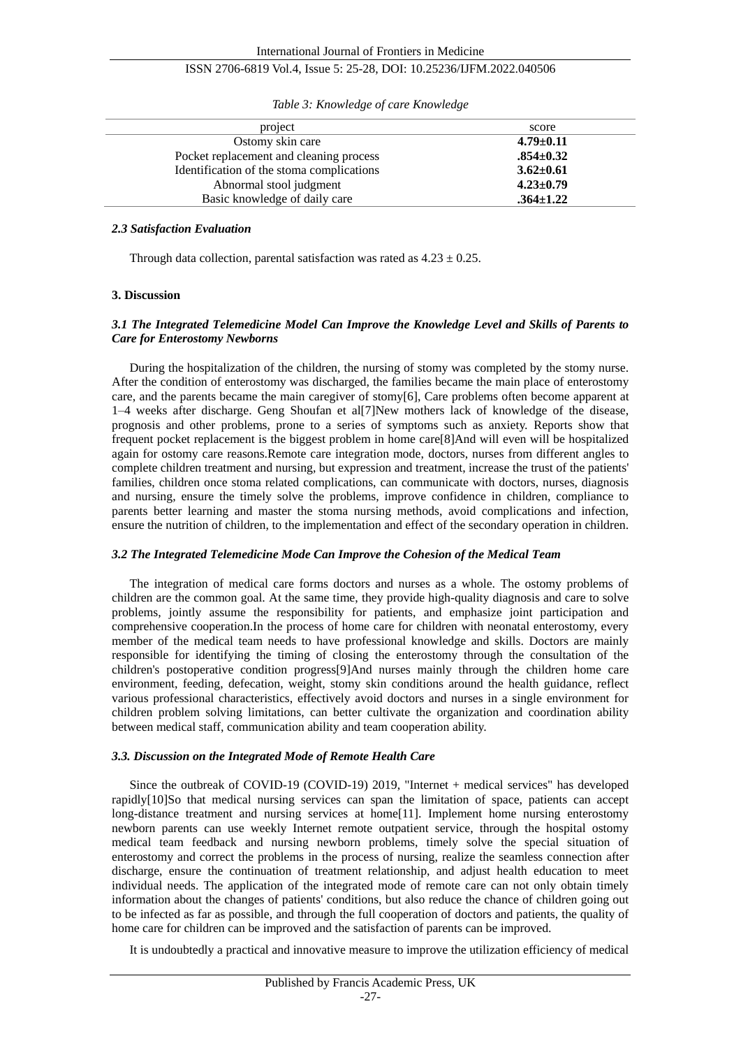# ISSN 2706-6819 Vol.4, Issue 5: 25-28, DOI: 10.25236/IJFM.2022.040506

| project                                   | score           |
|-------------------------------------------|-----------------|
| Ostomy skin care                          | $4.79 \pm 0.11$ |
| Pocket replacement and cleaning process   | $.854 \pm 0.32$ |
| Identification of the stoma complications | $3.62 - 0.61$   |
| Abnormal stool judgment                   | $4.23 \pm 0.79$ |
| Basic knowledge of daily care             | $.364 \pm 1.22$ |

*Table 3: Knowledge of care Knowledge*

#### *2.3 Satisfaction Evaluation*

Through data collection, parental satisfaction was rated as  $4.23 \pm 0.25$ .

#### **3. Discussion**

#### *3.1 The Integrated Telemedicine Model Can Improve the Knowledge Level and Skills of Parents to Care for Enterostomy Newborns*

During the hospitalization of the children, the nursing of stomy was completed by the stomy nurse. After the condition of enterostomy was discharged, the families became the main place of enterostomy care, and the parents became the main caregiver of stomy[6], Care problems often become apparent at 1–4 weeks after discharge. Geng Shoufan et al[7]New mothers lack of knowledge of the disease, prognosis and other problems, prone to a series of symptoms such as anxiety. Reports show that frequent pocket replacement is the biggest problem in home care[8]And will even will be hospitalized again for ostomy care reasons.Remote care integration mode, doctors, nurses from different angles to complete children treatment and nursing, but expression and treatment, increase the trust of the patients' families, children once stoma related complications, can communicate with doctors, nurses, diagnosis and nursing, ensure the timely solve the problems, improve confidence in children, compliance to parents better learning and master the stoma nursing methods, avoid complications and infection, ensure the nutrition of children, to the implementation and effect of the secondary operation in children.

#### *3.2 The Integrated Telemedicine Mode Can Improve the Cohesion of the Medical Team*

The integration of medical care forms doctors and nurses as a whole. The ostomy problems of children are the common goal. At the same time, they provide high-quality diagnosis and care to solve problems, jointly assume the responsibility for patients, and emphasize joint participation and comprehensive cooperation.In the process of home care for children with neonatal enterostomy, every member of the medical team needs to have professional knowledge and skills. Doctors are mainly responsible for identifying the timing of closing the enterostomy through the consultation of the children's postoperative condition progress[9]And nurses mainly through the children home care environment, feeding, defecation, weight, stomy skin conditions around the health guidance, reflect various professional characteristics, effectively avoid doctors and nurses in a single environment for children problem solving limitations, can better cultivate the organization and coordination ability between medical staff, communication ability and team cooperation ability.

#### *3.3. Discussion on the Integrated Mode of Remote Health Care*

Since the outbreak of COVID-19 (COVID-19) 2019, "Internet + medical services" has developed rapidly[10]So that medical nursing services can span the limitation of space, patients can accept long-distance treatment and nursing services at home[11]. Implement home nursing enterostomy newborn parents can use weekly Internet remote outpatient service, through the hospital ostomy medical team feedback and nursing newborn problems, timely solve the special situation of enterostomy and correct the problems in the process of nursing, realize the seamless connection after discharge, ensure the continuation of treatment relationship, and adjust health education to meet individual needs. The application of the integrated mode of remote care can not only obtain timely information about the changes of patients' conditions, but also reduce the chance of children going out to be infected as far as possible, and through the full cooperation of doctors and patients, the quality of home care for children can be improved and the satisfaction of parents can be improved.

It is undoubtedly a practical and innovative measure to improve the utilization efficiency of medical